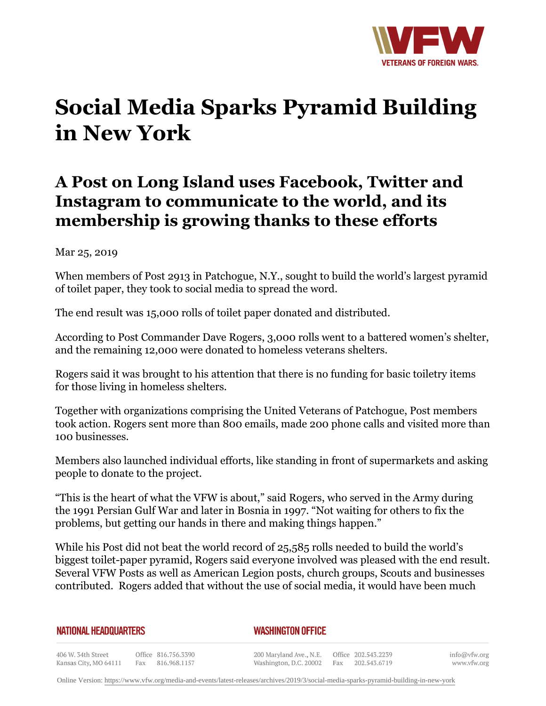

## **Social Media Sparks Pyramid Building in New York**

## **A Post on Long Island uses Facebook, Twitter and Instagram to communicate to the world, and its membership is growing thanks to these efforts**

## Mar 25, 2019

When members of Post 2913 in Patchogue, N.Y., sought to build the world's largest pyramid of toilet paper, they took to social media to spread the word.

The end result was 15,000 rolls of toilet paper donated and distributed.

According to Post Commander Dave Rogers, 3,000 rolls went to a battered women's shelter, and the remaining 12,000 were donated to homeless veterans shelters.

Rogers said it was brought to his attention that there is no funding for basic toiletry items for those living in homeless shelters.

Together with organizations comprising the United Veterans of Patchogue, Post members took action. Rogers sent more than 800 emails, made 200 phone calls and visited more than 100 businesses.

Members also launched individual efforts, like standing in front of supermarkets and asking people to donate to the project.

"This is the heart of what the VFW is about," said Rogers, who served in the Army during the 1991 Persian Gulf War and later in Bosnia in 1997. "Not waiting for others to fix the problems, but getting our hands in there and making things happen."

While his Post did not beat the world record of 25,585 rolls needed to build the world's biggest toilet-paper pyramid, Rogers said everyone involved was pleased with the end result. Several VFW Posts as well as American Legion posts, church groups, Scouts and businesses contributed. Rogers added that without the use of social media, it would have been much

## **NATIONAL HEADQUARTERS**

*WASHINGTON OFFICE* 

406 W. 34th Street Office 816.756.3390 Kansas City, MO 64111 Fax 816.968.1157

200 Maryland Ave., N.E. Washington, D.C. 20002

Office 202.543.2239 Fax 202.543.6719 info@vfw.org www.vfw.org

Online Version:<https://www.vfw.org/media-and-events/latest-releases/archives/2019/3/social-media-sparks-pyramid-building-in-new-york>